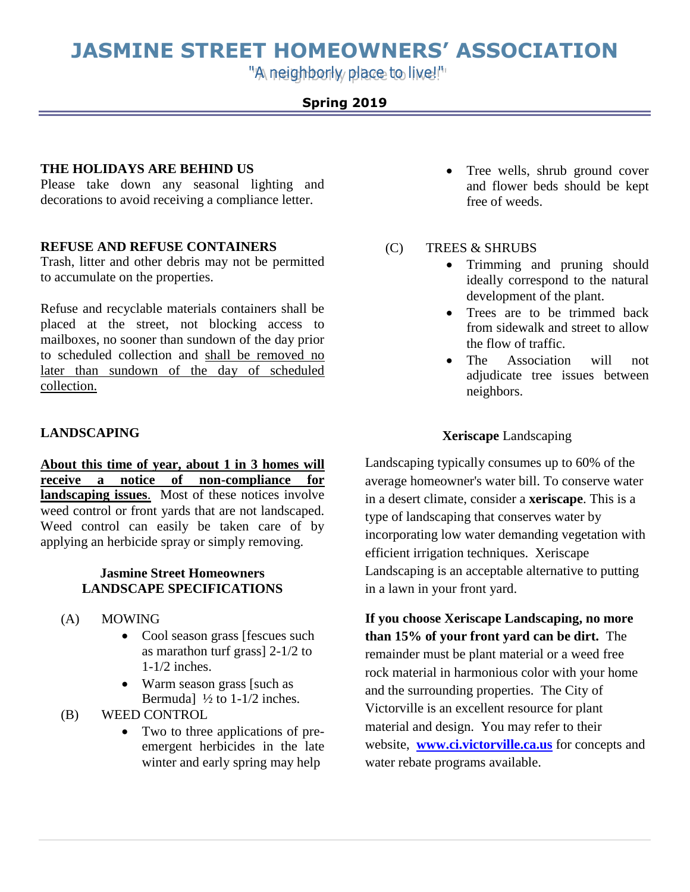# **JASMINE STREET HOMEOWNERS' ASSOCIATION**

"A neighborly place to live!"

## **Spring 2019**

### **THE HOLIDAYS ARE BEHIND US**

Please take down any seasonal lighting and decorations to avoid receiving a compliance letter.

## **REFUSE AND REFUSE CONTAINERS**

Trash, litter and other debris may not be permitted to accumulate on the properties.

Refuse and recyclable materials containers shall be placed at the street, not blocking access to mailboxes, no sooner than sundown of the day prior to scheduled collection and shall be removed no later than sundown of the day of scheduled collection.

## **LANDSCAPING**

**About this time of year, about 1 in 3 homes will receive a notice of non-compliance for landscaping issues**. Most of these notices involve weed control or front yards that are not landscaped. Weed control can easily be taken care of by applying an herbicide spray or simply removing.

## **Jasmine Street Homeowners LANDSCAPE SPECIFICATIONS**

- (A) MOWING
	- Cool season grass [fescues such as marathon turf grass] 2-1/2 to 1-1/2 inches.
	- Warm season grass [such as Bermuda]  $\frac{1}{2}$  to 1-1/2 inches.
- (B) WEED CONTROL
	- Two to three applications of preemergent herbicides in the late winter and early spring may help
- Tree wells, shrub ground cover and flower beds should be kept free of weeds.
- (C) TREES & SHRUBS
	- Trimming and pruning should ideally correspond to the natural development of the plant.
	- Trees are to be trimmed back from sidewalk and street to allow the flow of traffic.
	- The Association will not adjudicate tree issues between neighbors.

## **Xeriscape** Landscaping

Landscaping typically consumes up to 60% of the average homeowner's water bill. To conserve water in a desert climate, consider a **xeriscape**. This is a type of landscaping that conserves water by incorporating low water demanding vegetation with efficient irrigation techniques. Xeriscape Landscaping is an acceptable alternative to putting in a lawn in your front yard.

**If you choose Xeriscape Landscaping, no more than 15% of your front yard can be dirt.** The remainder must be plant material or a weed free rock material in harmonious color with your home and the surrounding properties. The City of Victorville is an excellent resource for plant material and design. You may refer to their website, **[www.ci.victorville.ca.us](http://www.ci.victorville.ca.us/)** for concepts and water rebate programs available.